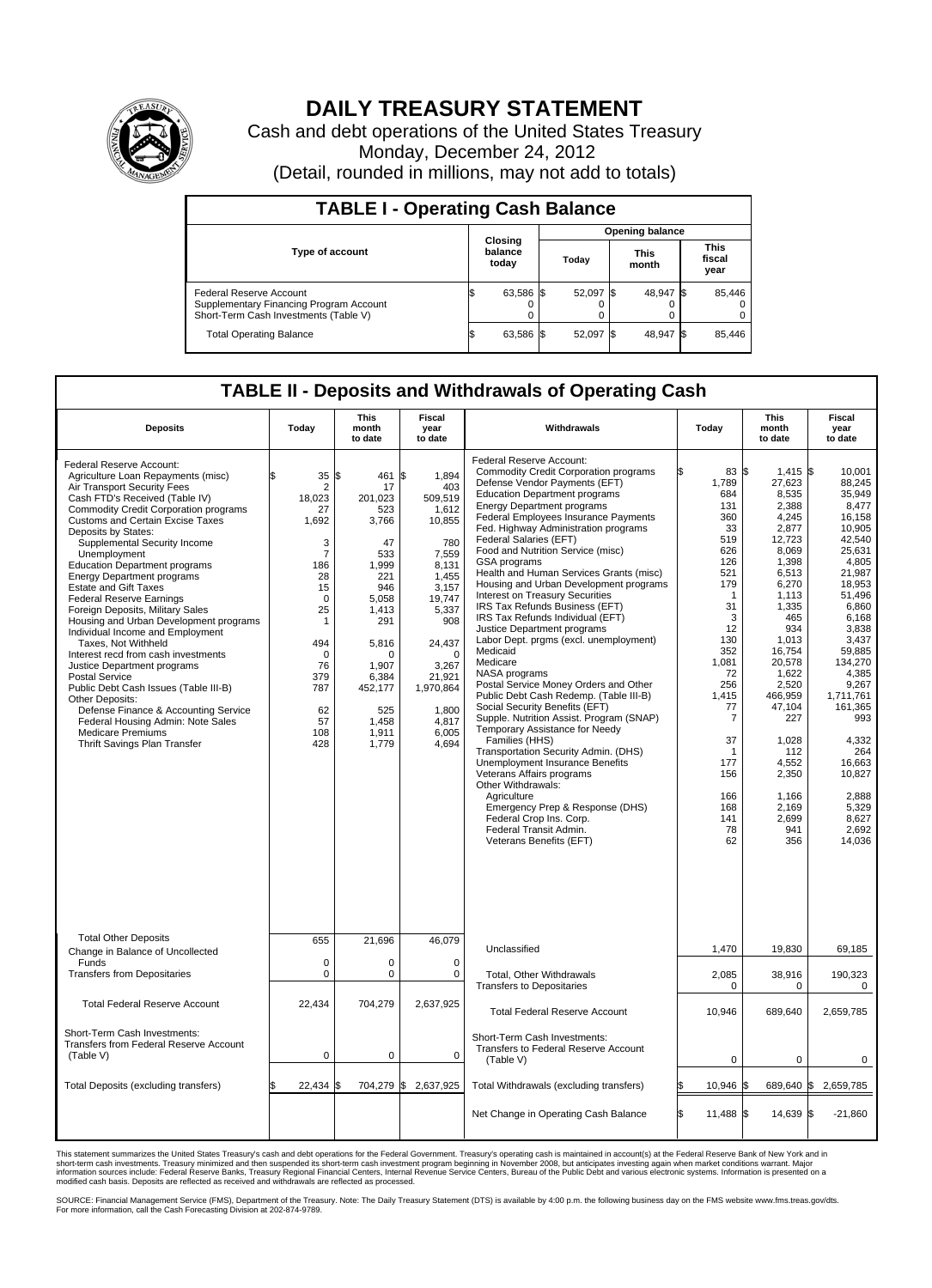

## **DAILY TREASURY STATEMENT**

Cash and debt operations of the United States Treasury Monday, December 24, 2012 (Detail, rounded in millions, may not add to totals)

| <b>TABLE I - Operating Cash Balance</b>                                                                     |                             |           |                      |                               |  |  |  |  |  |  |  |
|-------------------------------------------------------------------------------------------------------------|-----------------------------|-----------|----------------------|-------------------------------|--|--|--|--|--|--|--|
| Opening balance                                                                                             |                             |           |                      |                               |  |  |  |  |  |  |  |
| <b>Type of account</b>                                                                                      | Closing<br>balance<br>today | Today     | <b>This</b><br>month | <b>This</b><br>fiscal<br>year |  |  |  |  |  |  |  |
| Federal Reserve Account<br>Supplementary Financing Program Account<br>Short-Term Cash Investments (Table V) | 63,586 \$<br>0              | 52,097 \$ | 48,947 \$            | 85,446<br>$\Omega$<br>0       |  |  |  |  |  |  |  |
| <b>Total Operating Balance</b>                                                                              | 63,586 \$                   | 52,097    | 48,947 \$            | 85,446                        |  |  |  |  |  |  |  |

## **TABLE II - Deposits and Withdrawals of Operating Cash**

| <b>Deposits</b>                                                                                                                                                                                                                                                                                                                                                                                                                                                                                                                                                                                                                                                                                                                                                                                                                                                                                | Today                                                                                                                                                                                                  | <b>This</b><br>month<br>to date                                                                                                                                                              | Fiscal<br>vear<br>to date                                                                                                                                                                                        | Withdrawals                                                                                                                                                                                                                                                                                                                                                                                                                                                                                                                                                                                                                                                                                                                                                                                                                                                                                                                                                                                                                                                                                                                                                                     | Today                                                                                                                                                                                                                                       | <b>This</b><br>month<br>to date                                                                                                                                                                                                                                                              | <b>Fiscal</b><br>year<br>to date                                                                                                                                                                                                                                                                               |  |  |
|------------------------------------------------------------------------------------------------------------------------------------------------------------------------------------------------------------------------------------------------------------------------------------------------------------------------------------------------------------------------------------------------------------------------------------------------------------------------------------------------------------------------------------------------------------------------------------------------------------------------------------------------------------------------------------------------------------------------------------------------------------------------------------------------------------------------------------------------------------------------------------------------|--------------------------------------------------------------------------------------------------------------------------------------------------------------------------------------------------------|----------------------------------------------------------------------------------------------------------------------------------------------------------------------------------------------|------------------------------------------------------------------------------------------------------------------------------------------------------------------------------------------------------------------|---------------------------------------------------------------------------------------------------------------------------------------------------------------------------------------------------------------------------------------------------------------------------------------------------------------------------------------------------------------------------------------------------------------------------------------------------------------------------------------------------------------------------------------------------------------------------------------------------------------------------------------------------------------------------------------------------------------------------------------------------------------------------------------------------------------------------------------------------------------------------------------------------------------------------------------------------------------------------------------------------------------------------------------------------------------------------------------------------------------------------------------------------------------------------------|---------------------------------------------------------------------------------------------------------------------------------------------------------------------------------------------------------------------------------------------|----------------------------------------------------------------------------------------------------------------------------------------------------------------------------------------------------------------------------------------------------------------------------------------------|----------------------------------------------------------------------------------------------------------------------------------------------------------------------------------------------------------------------------------------------------------------------------------------------------------------|--|--|
| Federal Reserve Account:<br>Agriculture Loan Repayments (misc)<br>Air Transport Security Fees<br>Cash FTD's Received (Table IV)<br><b>Commodity Credit Corporation programs</b><br><b>Customs and Certain Excise Taxes</b><br>Deposits by States:<br>Supplemental Security Income<br>Unemployment<br><b>Education Department programs</b><br><b>Energy Department programs</b><br><b>Estate and Gift Taxes</b><br><b>Federal Reserve Earnings</b><br>Foreign Deposits, Military Sales<br>Housing and Urban Development programs<br>Individual Income and Employment<br>Taxes, Not Withheld<br>Interest recd from cash investments<br>Justice Department programs<br><b>Postal Service</b><br>Public Debt Cash Issues (Table III-B)<br>Other Deposits:<br>Defense Finance & Accounting Service<br>Federal Housing Admin: Note Sales<br><b>Medicare Premiums</b><br>Thrift Savings Plan Transfer | \$<br>35<br>$\overline{2}$<br>18,023<br>27<br>1,692<br>3<br>$\overline{7}$<br>186<br>28<br>15<br>$\mathbf 0$<br>25<br>$\mathbf{1}$<br>494<br>$\mathbf 0$<br>76<br>379<br>787<br>62<br>57<br>108<br>428 | l\$<br>461<br>17<br>201,023<br>523<br>3,766<br>47<br>533<br>1.999<br>221<br>946<br>5,058<br>1,413<br>291<br>5,816<br>$\Omega$<br>1.907<br>6,384<br>452,177<br>525<br>1,458<br>1,911<br>1,779 | 1,894<br>l\$<br>403<br>509,519<br>1,612<br>10,855<br>780<br>7,559<br>8.131<br>1,455<br>3,157<br>19,747<br>5,337<br>908<br>24,437<br>$\Omega$<br>3,267<br>21,921<br>1,970,864<br>1.800<br>4,817<br>6,005<br>4,694 | <b>Federal Reserve Account:</b><br><b>Commodity Credit Corporation programs</b><br>Defense Vendor Payments (EFT)<br><b>Education Department programs</b><br><b>Energy Department programs</b><br>Federal Employees Insurance Payments<br>Fed. Highway Administration programs<br>Federal Salaries (EFT)<br>Food and Nutrition Service (misc)<br>GSA programs<br>Health and Human Services Grants (misc)<br>Housing and Urban Development programs<br><b>Interest on Treasury Securities</b><br>IRS Tax Refunds Business (EFT)<br>IRS Tax Refunds Individual (EFT)<br>Justice Department programs<br>Labor Dept. prgms (excl. unemployment)<br>Medicaid<br>Medicare<br>NASA programs<br>Postal Service Money Orders and Other<br>Public Debt Cash Redemp. (Table III-B)<br>Social Security Benefits (EFT)<br>Supple. Nutrition Assist. Program (SNAP)<br>Temporary Assistance for Needy<br>Families (HHS)<br>Transportation Security Admin. (DHS)<br><b>Unemployment Insurance Benefits</b><br>Veterans Affairs programs<br>Other Withdrawals:<br>Agriculture<br>Emergency Prep & Response (DHS)<br>Federal Crop Ins. Corp.<br>Federal Transit Admin.<br>Veterans Benefits (EFT) | 83 \$<br>1,789<br>684<br>131<br>360<br>33<br>519<br>626<br>126<br>521<br>179<br>$\mathbf 1$<br>31<br>3<br>12<br>130<br>352<br>1,081<br>72<br>256<br>1,415<br>77<br>$\overline{7}$<br>37<br>1<br>177<br>156<br>166<br>168<br>141<br>78<br>62 | $1,415$ \$<br>27,623<br>8,535<br>2,388<br>4,245<br>2,877<br>12,723<br>8,069<br>1,398<br>6.513<br>6,270<br>1.113<br>1,335<br>465<br>934<br>1,013<br>16,754<br>20,578<br>1,622<br>2,520<br>466,959<br>47,104<br>227<br>1,028<br>112<br>4,552<br>2,350<br>1,166<br>2,169<br>2,699<br>941<br>356 | 10,001<br>88,245<br>35.949<br>8,477<br>16,158<br>10.905<br>42,540<br>25.631<br>4,805<br>21.987<br>18,953<br>51.496<br>6,860<br>6,168<br>3,838<br>3,437<br>59.885<br>134,270<br>4,385<br>9,267<br>1,711,761<br>161,365<br>993<br>4,332<br>264<br>16,663<br>10,827<br>2.888<br>5,329<br>8,627<br>2.692<br>14,036 |  |  |
| <b>Total Other Deposits</b><br>Change in Balance of Uncollected                                                                                                                                                                                                                                                                                                                                                                                                                                                                                                                                                                                                                                                                                                                                                                                                                                | 655                                                                                                                                                                                                    | 21.696                                                                                                                                                                                       | 46,079                                                                                                                                                                                                           | Unclassified                                                                                                                                                                                                                                                                                                                                                                                                                                                                                                                                                                                                                                                                                                                                                                                                                                                                                                                                                                                                                                                                                                                                                                    | 1.470                                                                                                                                                                                                                                       | 19.830                                                                                                                                                                                                                                                                                       | 69.185                                                                                                                                                                                                                                                                                                         |  |  |
| Funds                                                                                                                                                                                                                                                                                                                                                                                                                                                                                                                                                                                                                                                                                                                                                                                                                                                                                          | $\mathbf 0$<br>$\mathbf 0$                                                                                                                                                                             | 0<br>$\mathbf 0$                                                                                                                                                                             | $\mathbf 0$<br>$\mathbf 0$                                                                                                                                                                                       |                                                                                                                                                                                                                                                                                                                                                                                                                                                                                                                                                                                                                                                                                                                                                                                                                                                                                                                                                                                                                                                                                                                                                                                 |                                                                                                                                                                                                                                             |                                                                                                                                                                                                                                                                                              |                                                                                                                                                                                                                                                                                                                |  |  |
| <b>Transfers from Depositaries</b>                                                                                                                                                                                                                                                                                                                                                                                                                                                                                                                                                                                                                                                                                                                                                                                                                                                             |                                                                                                                                                                                                        |                                                                                                                                                                                              |                                                                                                                                                                                                                  | Total, Other Withdrawals<br><b>Transfers to Depositaries</b>                                                                                                                                                                                                                                                                                                                                                                                                                                                                                                                                                                                                                                                                                                                                                                                                                                                                                                                                                                                                                                                                                                                    | 2,085<br>0                                                                                                                                                                                                                                  | 38,916<br>0                                                                                                                                                                                                                                                                                  | 190,323<br>0                                                                                                                                                                                                                                                                                                   |  |  |
| <b>Total Federal Reserve Account</b>                                                                                                                                                                                                                                                                                                                                                                                                                                                                                                                                                                                                                                                                                                                                                                                                                                                           | 22,434                                                                                                                                                                                                 | 704,279                                                                                                                                                                                      | 2,637,925                                                                                                                                                                                                        | <b>Total Federal Reserve Account</b>                                                                                                                                                                                                                                                                                                                                                                                                                                                                                                                                                                                                                                                                                                                                                                                                                                                                                                                                                                                                                                                                                                                                            | 10,946                                                                                                                                                                                                                                      | 689,640                                                                                                                                                                                                                                                                                      | 2,659,785                                                                                                                                                                                                                                                                                                      |  |  |
| Short-Term Cash Investments:<br><b>Transfers from Federal Reserve Account</b><br>(Table V)                                                                                                                                                                                                                                                                                                                                                                                                                                                                                                                                                                                                                                                                                                                                                                                                     | 0                                                                                                                                                                                                      | $\mathbf 0$                                                                                                                                                                                  | $\mathbf 0$                                                                                                                                                                                                      | Short-Term Cash Investments:<br>Transfers to Federal Reserve Account<br>(Table V)                                                                                                                                                                                                                                                                                                                                                                                                                                                                                                                                                                                                                                                                                                                                                                                                                                                                                                                                                                                                                                                                                               | $\mathbf 0$                                                                                                                                                                                                                                 | 0                                                                                                                                                                                                                                                                                            | $\mathbf 0$                                                                                                                                                                                                                                                                                                    |  |  |
| Total Deposits (excluding transfers)                                                                                                                                                                                                                                                                                                                                                                                                                                                                                                                                                                                                                                                                                                                                                                                                                                                           | 22,434 \$                                                                                                                                                                                              |                                                                                                                                                                                              | 704,279 \$ 2,637,925                                                                                                                                                                                             | Total Withdrawals (excluding transfers)                                                                                                                                                                                                                                                                                                                                                                                                                                                                                                                                                                                                                                                                                                                                                                                                                                                                                                                                                                                                                                                                                                                                         | 10,946                                                                                                                                                                                                                                      | 689,640 \$                                                                                                                                                                                                                                                                                   | 2,659,785                                                                                                                                                                                                                                                                                                      |  |  |
|                                                                                                                                                                                                                                                                                                                                                                                                                                                                                                                                                                                                                                                                                                                                                                                                                                                                                                |                                                                                                                                                                                                        |                                                                                                                                                                                              |                                                                                                                                                                                                                  | Net Change in Operating Cash Balance                                                                                                                                                                                                                                                                                                                                                                                                                                                                                                                                                                                                                                                                                                                                                                                                                                                                                                                                                                                                                                                                                                                                            | 11.488 \$<br>l\$                                                                                                                                                                                                                            | 14.639 \$                                                                                                                                                                                                                                                                                    | $-21.860$                                                                                                                                                                                                                                                                                                      |  |  |

This statement summarizes the United States Treasury's cash and debt operations for the Federal Government. Treasury's operating cash is maintained in account(s) at the Federal Reserve Bank of New York and in<br>short-term ca

SOURCE: Financial Management Service (FMS), Department of the Treasury. Note: The Daily Treasury Statement (DTS) is available by 4:00 p.m. the following business day on the FMS website www.fms.treas.gov/dts.<br>For more infor